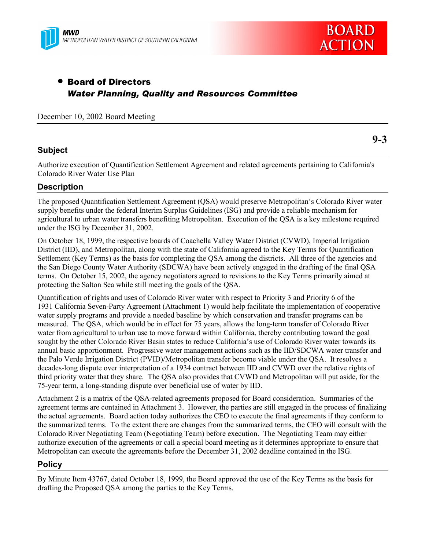



**9-3**

## • Board of Directors *Water Planning, Quality and Resources Committee*

December 10, 2002 Board Meeting

## **Subject**

Authorize execution of Quantification Settlement Agreement and related agreements pertaining to California's Colorado River Water Use Plan

## **Description**

The proposed Quantification Settlement Agreement (QSA) would preserve Metropolitanís Colorado River water supply benefits under the federal Interim Surplus Guidelines (ISG) and provide a reliable mechanism for agricultural to urban water transfers benefiting Metropolitan. Execution of the QSA is a key milestone required under the ISG by December 31, 2002.

On October 18, 1999, the respective boards of Coachella Valley Water District (CVWD), Imperial Irrigation District (IID), and Metropolitan, along with the state of California agreed to the Key Terms for Quantification Settlement (Key Terms) as the basis for completing the QSA among the districts. All three of the agencies and the San Diego County Water Authority (SDCWA) have been actively engaged in the drafting of the final QSA terms. On October 15, 2002, the agency negotiators agreed to revisions to the Key Terms primarily aimed at protecting the Salton Sea while still meeting the goals of the QSA.

Quantification of rights and uses of Colorado River water with respect to Priority 3 and Priority 6 of the 1931 California Seven-Party Agreement (Attachment 1) would help facilitate the implementation of cooperative water supply programs and provide a needed baseline by which conservation and transfer programs can be measured. The QSA, which would be in effect for 75 years, allows the long-term transfer of Colorado River water from agricultural to urban use to move forward within California, thereby contributing toward the goal sought by the other Colorado River Basin states to reduce California's use of Colorado River water towards its annual basic apportionment. Progressive water management actions such as the IID/SDCWA water transfer and the Palo Verde Irrigation District (PVID)/Metropolitan transfer become viable under the QSA. It resolves a decades-long dispute over interpretation of a 1934 contract between IID and CVWD over the relative rights of third priority water that they share. The QSA also provides that CVWD and Metropolitan will put aside, for the 75-year term, a long-standing dispute over beneficial use of water by IID.

Attachment 2 is a matrix of the QSA-related agreements proposed for Board consideration. Summaries of the agreement terms are contained in Attachment 3. However, the parties are still engaged in the process of finalizing the actual agreements. Board action today authorizes the CEO to execute the final agreements if they conform to the summarized terms. To the extent there are changes from the summarized terms, the CEO will consult with the Colorado River Negotiating Team (Negotiating Team) before execution. The Negotiating Team may either authorize execution of the agreements or call a special board meeting as it determines appropriate to ensure that Metropolitan can execute the agreements before the December 31, 2002 deadline contained in the ISG.

## **Policy**

By Minute Item 43767, dated October 18, 1999, the Board approved the use of the Key Terms as the basis for drafting the Proposed QSA among the parties to the Key Terms.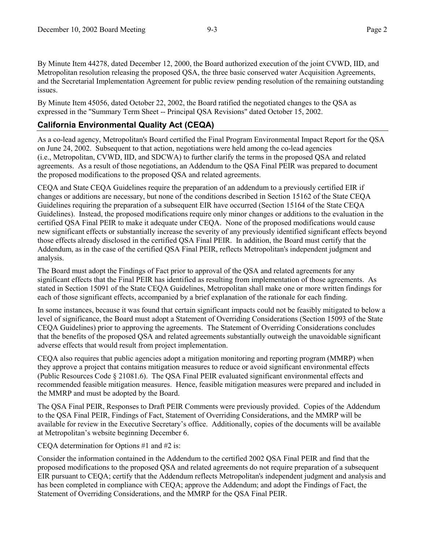By Minute Item 44278, dated December 12, 2000, the Board authorized execution of the joint CVWD, IID, and Metropolitan resolution releasing the proposed QSA, the three basic conserved water Acquisition Agreements, and the Secretarial Implementation Agreement for public review pending resolution of the remaining outstanding issues.

By Minute Item 45056, dated October 22, 2002, the Board ratified the negotiated changes to the QSA as expressed in the "Summary Term Sheet -- Principal QSA Revisions" dated October 15, 2002.

## **California Environmental Quality Act (CEQA)**

As a co-lead agency, Metropolitan's Board certified the Final Program Environmental Impact Report for the QSA on June 24, 2002. Subsequent to that action, negotiations were held among the co-lead agencies (i.e., Metropolitan, CVWD, IID, and SDCWA) to further clarify the terms in the proposed QSA and related agreements. As a result of those negotiations, an Addendum to the QSA Final PEIR was prepared to document the proposed modifications to the proposed QSA and related agreements.

CEQA and State CEQA Guidelines require the preparation of an addendum to a previously certified EIR if changes or additions are necessary, but none of the conditions described in Section 15162 of the State CEQA Guidelines requiring the preparation of a subsequent EIR have occurred (Section 15164 of the State CEQA Guidelines). Instead, the proposed modifications require only minor changes or additions to the evaluation in the certified QSA Final PEIR to make it adequate under CEQA. None of the proposed modifications would cause new significant effects or substantially increase the severity of any previously identified significant effects beyond those effects already disclosed in the certified QSA Final PEIR. In addition, the Board must certify that the Addendum, as in the case of the certified QSA Final PEIR, reflects Metropolitan's independent judgment and analysis.

The Board must adopt the Findings of Fact prior to approval of the QSA and related agreements for any significant effects that the Final PEIR has identified as resulting from implementation of those agreements. As stated in Section 15091 of the State CEQA Guidelines, Metropolitan shall make one or more written findings for each of those significant effects, accompanied by a brief explanation of the rationale for each finding.

In some instances, because it was found that certain significant impacts could not be feasibly mitigated to below a level of significance, the Board must adopt a Statement of Overriding Considerations (Section 15093 of the State CEQA Guidelines) prior to approving the agreements. The Statement of Overriding Considerations concludes that the benefits of the proposed QSA and related agreements substantially outweigh the unavoidable significant adverse effects that would result from project implementation.

CEQA also requires that public agencies adopt a mitigation monitoring and reporting program (MMRP) when they approve a project that contains mitigation measures to reduce or avoid significant environmental effects (Public Resources Code ß 21081.6). The QSA Final PEIR evaluated significant environmental effects and recommended feasible mitigation measures. Hence, feasible mitigation measures were prepared and included in the MMRP and must be adopted by the Board.

The QSA Final PEIR, Responses to Draft PEIR Comments were previously provided. Copies of the Addendum to the QSA Final PEIR, Findings of Fact, Statement of Overriding Considerations, and the MMRP will be available for review in the Executive Secretary's office. Additionally, copies of the documents will be available at Metropolitan's website beginning December 6.

#### CEQA determination for Options #1 and #2 is:

Consider the information contained in the Addendum to the certified 2002 QSA Final PEIR and find that the proposed modifications to the proposed QSA and related agreements do not require preparation of a subsequent EIR pursuant to CEQA; certify that the Addendum reflects Metropolitan's independent judgment and analysis and has been completed in compliance with CEQA; approve the Addendum; and adopt the Findings of Fact, the Statement of Overriding Considerations, and the MMRP for the QSA Final PEIR.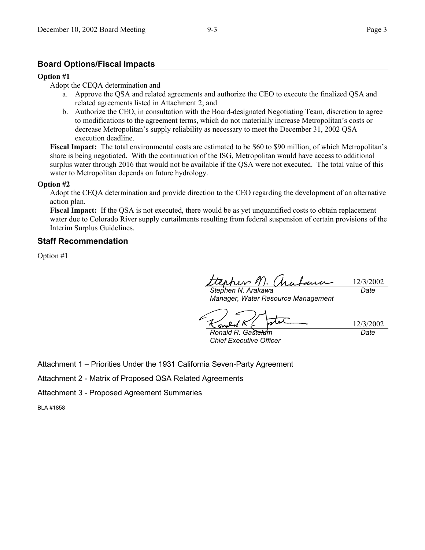## **Board Options/Fiscal Impacts**

#### **Option #1**

#### Adopt the CEQA determination and

- a. Approve the QSA and related agreements and authorize the CEO to execute the finalized QSA and related agreements listed in Attachment 2; and
- b. Authorize the CEO, in consultation with the Board-designated Negotiating Team, discretion to agree to modifications to the agreement terms, which do not materially increase Metropolitan's costs or decrease Metropolitan's supply reliability as necessary to meet the December 31, 2002 QSA execution deadline.

**Fiscal Impact:** The total environmental costs are estimated to be \$60 to \$90 million, of which Metropolitan's share is being negotiated. With the continuation of the ISG, Metropolitan would have access to additional surplus water through 2016 that would not be available if the QSA were not executed. The total value of this water to Metropolitan depends on future hydrology.

#### **Option #2**

Adopt the CEQA determination and provide direction to the CEO regarding the development of an alternative action plan.

**Fiscal Impact:** If the QSA is not executed, there would be as yet unquantified costs to obtain replacement water due to Colorado River supply curtailments resulting from federal suspension of certain provisions of the Interim Surplus Guidelines.

#### **Staff Recommendation**

Option #1

12/3/2002 *Stephen N. Arakawa Date*

*Manager, Water Resource Management*

*Ronald R. Gastelum Chief Executive Officer*

12/3/2002 *Date*

Attachment 1 – Priorities Under the 1931 California Seven-Party Agreement

Attachment 2 - Matrix of Proposed QSA Related Agreements

Attachment 3 - Proposed Agreement Summaries

BLA #1858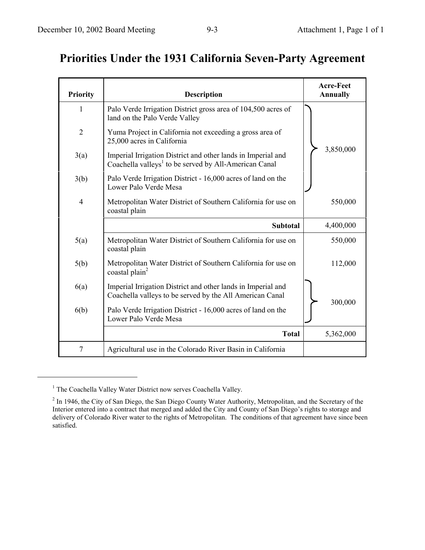# **Priorities Under the 1931 California Seven-Party Agreement**

| <b>Priority</b> | <b>Description</b>                                                                                                                | <b>Acre-Feet</b><br><b>Annually</b> |
|-----------------|-----------------------------------------------------------------------------------------------------------------------------------|-------------------------------------|
| 1               | Palo Verde Irrigation District gross area of 104,500 acres of<br>land on the Palo Verde Valley                                    |                                     |
| $\overline{2}$  | Yuma Project in California not exceeding a gross area of<br>25,000 acres in California                                            |                                     |
| 3(a)            | Imperial Irrigation District and other lands in Imperial and<br>Coachella valleys <sup>1</sup> to be served by All-American Canal | 3,850,000                           |
| 3(b)            | Palo Verde Irrigation District - 16,000 acres of land on the<br>Lower Palo Verde Mesa                                             |                                     |
| $\overline{4}$  | Metropolitan Water District of Southern California for use on<br>coastal plain                                                    | 550,000                             |
|                 | <b>Subtotal</b>                                                                                                                   | 4,400,000                           |
| 5(a)            | Metropolitan Water District of Southern California for use on<br>coastal plain                                                    | 550,000                             |
| 5(b)            | Metropolitan Water District of Southern California for use on<br>coastal plain <sup>2</sup>                                       | 112,000                             |
| 6(a)            | Imperial Irrigation District and other lands in Imperial and<br>Coachella valleys to be served by the All American Canal          | 300,000                             |
| 6(b)            | Palo Verde Irrigation District - 16,000 acres of land on the<br>Lower Palo Verde Mesa                                             |                                     |
|                 | <b>Total</b>                                                                                                                      | 5,362,000                           |
| $\overline{7}$  | Agricultural use in the Colorado River Basin in California                                                                        |                                     |

<sup>&</sup>lt;sup>1</sup> The Coachella Valley Water District now serves Coachella Valley.

 $\overline{a}$ 

 $2$  In 1946, the City of San Diego, the San Diego County Water Authority, Metropolitan, and the Secretary of the Interior entered into a contract that merged and added the City and County of San Diego's rights to storage and delivery of Colorado River water to the rights of Metropolitan. The conditions of that agreement have since been satisfied.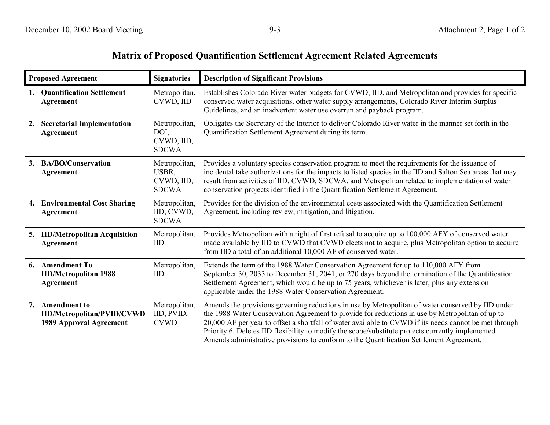## **Matrix of Proposed Quantification Settlement Agreement Related Agreements**

| <b>Proposed Agreement</b>                                                                 | <b>Signatories</b>                                   | <b>Description of Significant Provisions</b>                                                                                                                                                                                                                                                                                                                                                                                                                                                                    |
|-------------------------------------------------------------------------------------------|------------------------------------------------------|-----------------------------------------------------------------------------------------------------------------------------------------------------------------------------------------------------------------------------------------------------------------------------------------------------------------------------------------------------------------------------------------------------------------------------------------------------------------------------------------------------------------|
| <b>Quantification Settlement</b><br>1.<br><b>Agreement</b>                                | Metropolitan,<br>CVWD, IID                           | Establishes Colorado River water budgets for CVWD, IID, and Metropolitan and provides for specific<br>conserved water acquisitions, other water supply arrangements, Colorado River Interim Surplus<br>Guidelines, and an inadvertent water use overrun and payback program.                                                                                                                                                                                                                                    |
| <b>Secretarial Implementation</b><br>2.<br>Agreement                                      | Metropolitan,<br>DOI,<br>CVWD, IID,<br><b>SDCWA</b>  | Obligates the Secretary of the Interior to deliver Colorado River water in the manner set forth in the<br>Quantification Settlement Agreement during its term.                                                                                                                                                                                                                                                                                                                                                  |
| <b>BA/BO/Conservation</b><br>3.<br><b>Agreement</b>                                       | Metropolitan,<br>USBR,<br>CVWD, IID,<br><b>SDCWA</b> | Provides a voluntary species conservation program to meet the requirements for the issuance of<br>incidental take authorizations for the impacts to listed species in the IID and Salton Sea areas that may<br>result from activities of IID, CVWD, SDCWA, and Metropolitan related to implementation of water<br>conservation projects identified in the Quantification Settlement Agreement.                                                                                                                  |
| <b>Environmental Cost Sharing</b><br>4.<br><b>Agreement</b>                               | Metropolitan,<br>IID, CVWD,<br><b>SDCWA</b>          | Provides for the division of the environmental costs associated with the Quantification Settlement<br>Agreement, including review, mitigation, and litigation.                                                                                                                                                                                                                                                                                                                                                  |
| <b>IID/Metropolitan Acquisition</b><br>5.<br>Agreement                                    | Metropolitan,<br><b>IID</b>                          | Provides Metropolitan with a right of first refusal to acquire up to 100,000 AFY of conserved water<br>made available by IID to CVWD that CVWD elects not to acquire, plus Metropolitan option to acquire<br>from IID a total of an additional 10,000 AF of conserved water.                                                                                                                                                                                                                                    |
| 6. Amendment To<br><b>IID/Metropolitan 1988</b><br>Agreement                              | Metropolitan,<br>IID                                 | Extends the term of the 1988 Water Conservation Agreement for up to 110,000 AFY from<br>September 30, 2033 to December 31, 2041, or 270 days beyond the termination of the Quantification<br>Settlement Agreement, which would be up to 75 years, whichever is later, plus any extension<br>applicable under the 1988 Water Conservation Agreement.                                                                                                                                                             |
| 7.<br><b>Amendment to</b><br><b>IID/Metropolitan/PVID/CVWD</b><br>1989 Approval Agreement | Metropolitan,<br>IID, PVID,<br><b>CVWD</b>           | Amends the provisions governing reductions in use by Metropolitan of water conserved by IID under<br>the 1988 Water Conservation Agreement to provide for reductions in use by Metropolitan of up to<br>20,000 AF per year to offset a shortfall of water available to CVWD if its needs cannot be met through<br>Priority 6. Deletes IID flexibility to modify the scope/substitute projects currently implemented.<br>Amends administrative provisions to conform to the Quantification Settlement Agreement. |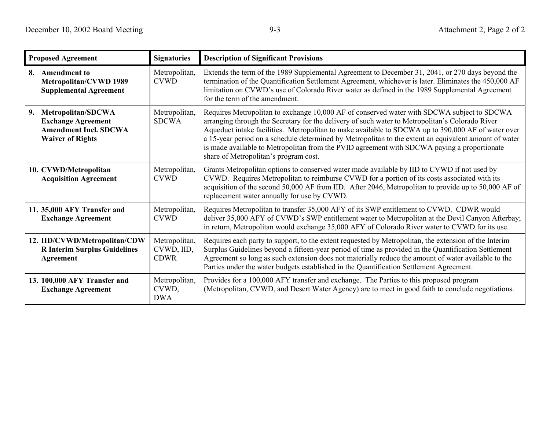| <b>Proposed Agreement</b>                                                                                        | <b>Signatories</b>                         | <b>Description of Significant Provisions</b>                                                                                                                                                                                                                                                                                                                                                                                                                                                                                                         |
|------------------------------------------------------------------------------------------------------------------|--------------------------------------------|------------------------------------------------------------------------------------------------------------------------------------------------------------------------------------------------------------------------------------------------------------------------------------------------------------------------------------------------------------------------------------------------------------------------------------------------------------------------------------------------------------------------------------------------------|
| 8. Amendment to<br>Metropolitan/CVWD 1989<br><b>Supplemental Agreement</b>                                       | Metropolitan,<br><b>CVWD</b>               | Extends the term of the 1989 Supplemental Agreement to December 31, 2041, or 270 days beyond the<br>termination of the Quantification Settlement Agreement, whichever is later. Eliminates the 450,000 AF<br>limitation on CVWD's use of Colorado River water as defined in the 1989 Supplemental Agreement<br>for the term of the amendment.                                                                                                                                                                                                        |
| Metropolitan/SDCWA<br>9.<br><b>Exchange Agreement</b><br><b>Amendment Incl. SDCWA</b><br><b>Waiver of Rights</b> | Metropolitan,<br><b>SDCWA</b>              | Requires Metropolitan to exchange 10,000 AF of conserved water with SDCWA subject to SDCWA<br>arranging through the Secretary for the delivery of such water to Metropolitan's Colorado River<br>Aqueduct intake facilities. Metropolitan to make available to SDCWA up to 390,000 AF of water over<br>a 15-year period on a schedule determined by Metropolitan to the extent an equivalent amount of water<br>is made available to Metropolitan from the PVID agreement with SDCWA paying a proportionate<br>share of Metropolitan's program cost. |
| 10. CVWD/Metropolitan<br><b>Acquisition Agreement</b>                                                            | Metropolitan,<br><b>CVWD</b>               | Grants Metropolitan options to conserved water made available by IID to CVWD if not used by<br>CVWD. Requires Metropolitan to reimburse CVWD for a portion of its costs associated with its<br>acquisition of the second 50,000 AF from IID. After 2046, Metropolitan to provide up to 50,000 AF of<br>replacement water annually for use by CVWD.                                                                                                                                                                                                   |
| 11. 35,000 AFY Transfer and<br><b>Exchange Agreement</b>                                                         | Metropolitan,<br><b>CVWD</b>               | Requires Metropolitan to transfer 35,000 AFY of its SWP entitlement to CVWD. CDWR would<br>deliver 35,000 AFY of CVWD's SWP entitlement water to Metropolitan at the Devil Canyon Afterbay;<br>in return, Metropolitan would exchange 35,000 AFY of Colorado River water to CVWD for its use.                                                                                                                                                                                                                                                        |
| 12. IID/CVWD/Metropolitan/CDW<br><b>R</b> Interim Surplus Guidelines<br>Agreement                                | Metropolitan,<br>CVWD, IID,<br><b>CDWR</b> | Requires each party to support, to the extent requested by Metropolitan, the extension of the Interim<br>Surplus Guidelines beyond a fifteen-year period of time as provided in the Quantification Settlement<br>Agreement so long as such extension does not materially reduce the amount of water available to the<br>Parties under the water budgets established in the Quantification Settlement Agreement.                                                                                                                                      |
| 13. 100,000 AFY Transfer and<br><b>Exchange Agreement</b>                                                        | Metropolitan,<br>CVWD,<br><b>DWA</b>       | Provides for a 100,000 AFY transfer and exchange. The Parties to this proposed program<br>(Metropolitan, CVWD, and Desert Water Agency) are to meet in good faith to conclude negotiations.                                                                                                                                                                                                                                                                                                                                                          |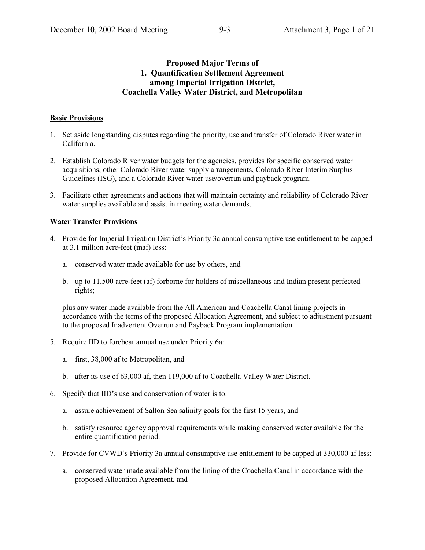## **Proposed Major Terms of 1. Quantification Settlement Agreement among Imperial Irrigation District, Coachella Valley Water District, and Metropolitan**

#### **Basic Provisions**

- 1. Set aside longstanding disputes regarding the priority, use and transfer of Colorado River water in California.
- 2. Establish Colorado River water budgets for the agencies, provides for specific conserved water acquisitions, other Colorado River water supply arrangements, Colorado River Interim Surplus Guidelines (ISG), and a Colorado River water use/overrun and payback program.
- 3. Facilitate other agreements and actions that will maintain certainty and reliability of Colorado River water supplies available and assist in meeting water demands.

#### **Water Transfer Provisions**

- 4. Provide for Imperial Irrigation District's Priority 3a annual consumptive use entitlement to be capped at 3.1 million acre-feet (maf) less:
	- a. conserved water made available for use by others, and
	- b. up to 11,500 acre-feet (af) forborne for holders of miscellaneous and Indian present perfected rights;

plus any water made available from the All American and Coachella Canal lining projects in accordance with the terms of the proposed Allocation Agreement, and subject to adjustment pursuant to the proposed Inadvertent Overrun and Payback Program implementation.

- 5. Require IID to forebear annual use under Priority 6a:
	- a. first, 38,000 af to Metropolitan, and
	- b. after its use of 63,000 af, then 119,000 af to Coachella Valley Water District.
- 6. Specify that IID's use and conservation of water is to:
	- a. assure achievement of Salton Sea salinity goals for the first 15 years, and
	- b. satisfy resource agency approval requirements while making conserved water available for the entire quantification period.
- 7. Provide for CVWD's Priority 3a annual consumptive use entitlement to be capped at 330,000 af less:
	- a. conserved water made available from the lining of the Coachella Canal in accordance with the proposed Allocation Agreement, and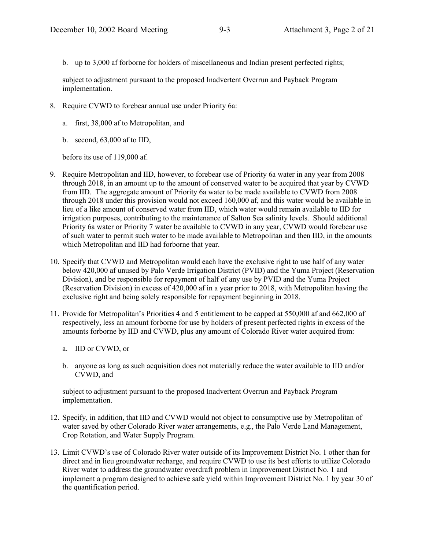b. up to 3,000 af forborne for holders of miscellaneous and Indian present perfected rights;

subject to adjustment pursuant to the proposed Inadvertent Overrun and Payback Program implementation.

- 8. Require CVWD to forebear annual use under Priority 6a:
	- a. first, 38,000 af to Metropolitan, and
	- b. second, 63,000 af to IID,

before its use of 119,000 af.

- 9. Require Metropolitan and IID, however, to forebear use of Priority 6a water in any year from 2008 through 2018, in an amount up to the amount of conserved water to be acquired that year by CVWD from IID. The aggregate amount of Priority 6a water to be made available to CVWD from 2008 through 2018 under this provision would not exceed 160,000 af, and this water would be available in lieu of a like amount of conserved water from IID, which water would remain available to IID for irrigation purposes, contributing to the maintenance of Salton Sea salinity levels. Should additional Priority 6a water or Priority 7 water be available to CVWD in any year, CVWD would forebear use of such water to permit such water to be made available to Metropolitan and then IID, in the amounts which Metropolitan and IID had forborne that year.
- 10. Specify that CVWD and Metropolitan would each have the exclusive right to use half of any water below 420,000 af unused by Palo Verde Irrigation District (PVID) and the Yuma Project (Reservation Division), and be responsible for repayment of half of any use by PVID and the Yuma Project (Reservation Division) in excess of 420,000 af in a year prior to 2018, with Metropolitan having the exclusive right and being solely responsible for repayment beginning in 2018.
- 11. Provide for Metropolitanís Priorities 4 and 5 entitlement to be capped at 550,000 af and 662,000 af respectively, less an amount forborne for use by holders of present perfected rights in excess of the amounts forborne by IID and CVWD, plus any amount of Colorado River water acquired from:
	- a. IID or CVWD, or
	- b. anyone as long as such acquisition does not materially reduce the water available to IID and/or CVWD, and

subject to adjustment pursuant to the proposed Inadvertent Overrun and Payback Program implementation.

- 12. Specify, in addition, that IID and CVWD would not object to consumptive use by Metropolitan of water saved by other Colorado River water arrangements, e.g., the Palo Verde Land Management, Crop Rotation, and Water Supply Program.
- 13. Limit CVWD's use of Colorado River water outside of its Improvement District No. 1 other than for direct and in lieu groundwater recharge, and require CVWD to use its best efforts to utilize Colorado River water to address the groundwater overdraft problem in Improvement District No. 1 and implement a program designed to achieve safe yield within Improvement District No. 1 by year 30 of the quantification period.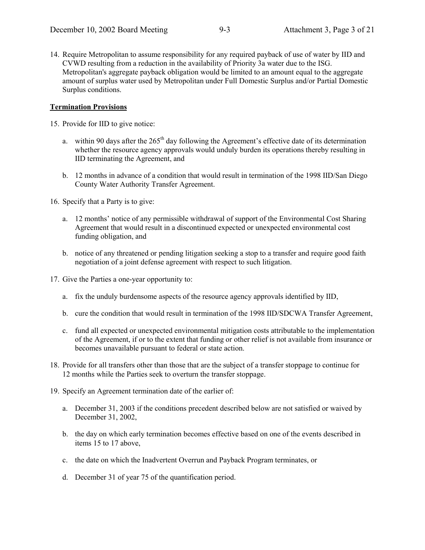14. Require Metropolitan to assume responsibility for any required payback of use of water by IID and CVWD resulting from a reduction in the availability of Priority 3a water due to the ISG. Metropolitan's aggregate payback obligation would be limited to an amount equal to the aggregate amount of surplus water used by Metropolitan under Full Domestic Surplus and/or Partial Domestic Surplus conditions.

## **Termination Provisions**

15. Provide for IID to give notice:

- a. within 90 days after the  $265<sup>th</sup>$  day following the Agreement's effective date of its determination whether the resource agency approvals would unduly burden its operations thereby resulting in IID terminating the Agreement, and
- b. 12 months in advance of a condition that would result in termination of the 1998 IID/San Diego County Water Authority Transfer Agreement.

16. Specify that a Party is to give:

- a. 12 months' notice of any permissible withdrawal of support of the Environmental Cost Sharing Agreement that would result in a discontinued expected or unexpected environmental cost funding obligation, and
- b. notice of any threatened or pending litigation seeking a stop to a transfer and require good faith negotiation of a joint defense agreement with respect to such litigation.
- 17. Give the Parties a one-year opportunity to:
	- a. fix the unduly burdensome aspects of the resource agency approvals identified by IID,
	- b. cure the condition that would result in termination of the 1998 IID/SDCWA Transfer Agreement,
	- c. fund all expected or unexpected environmental mitigation costs attributable to the implementation of the Agreement, if or to the extent that funding or other relief is not available from insurance or becomes unavailable pursuant to federal or state action.
- 18. Provide for all transfers other than those that are the subject of a transfer stoppage to continue for 12 months while the Parties seek to overturn the transfer stoppage.
- 19. Specify an Agreement termination date of the earlier of:
	- a. December 31, 2003 if the conditions precedent described below are not satisfied or waived by December 31, 2002,
	- b. the day on which early termination becomes effective based on one of the events described in items 15 to 17 above,
	- c. the date on which the Inadvertent Overrun and Payback Program terminates, or
	- d. December 31 of year 75 of the quantification period.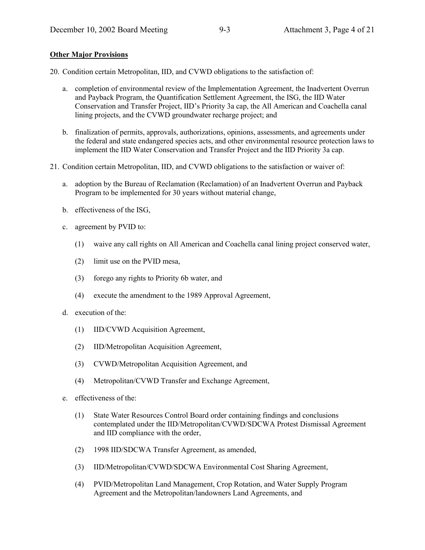#### **Other Major Provisions**

20. Condition certain Metropolitan, IID, and CVWD obligations to the satisfaction of:

- a. completion of environmental review of the Implementation Agreement, the Inadvertent Overrun and Payback Program, the Quantification Settlement Agreement, the ISG, the IID Water Conservation and Transfer Project, IID's Priority 3a cap, the All American and Coachella canal lining projects, and the CVWD groundwater recharge project; and
- b. finalization of permits, approvals, authorizations, opinions, assessments, and agreements under the federal and state endangered species acts, and other environmental resource protection laws to implement the IID Water Conservation and Transfer Project and the IID Priority 3a cap.
- 21. Condition certain Metropolitan, IID, and CVWD obligations to the satisfaction or waiver of:
	- a. adoption by the Bureau of Reclamation (Reclamation) of an Inadvertent Overrun and Payback Program to be implemented for 30 years without material change,
	- b. effectiveness of the ISG,
	- c. agreement by PVID to:
		- (1) waive any call rights on All American and Coachella canal lining project conserved water,
		- (2) limit use on the PVID mesa,
		- (3) forego any rights to Priority 6b water, and
		- (4) execute the amendment to the 1989 Approval Agreement,
	- d. execution of the:
		- (1) IID/CVWD Acquisition Agreement,
		- (2) IID/Metropolitan Acquisition Agreement,
		- (3) CVWD/Metropolitan Acquisition Agreement, and
		- (4) Metropolitan/CVWD Transfer and Exchange Agreement,
	- e. effectiveness of the:
		- (1) State Water Resources Control Board order containing findings and conclusions contemplated under the IID/Metropolitan/CVWD/SDCWA Protest Dismissal Agreement and IID compliance with the order,
		- (2) 1998 IID/SDCWA Transfer Agreement, as amended,
		- (3) IID/Metropolitan/CVWD/SDCWA Environmental Cost Sharing Agreement,
		- (4) PVID/Metropolitan Land Management, Crop Rotation, and Water Supply Program Agreement and the Metropolitan/landowners Land Agreements, and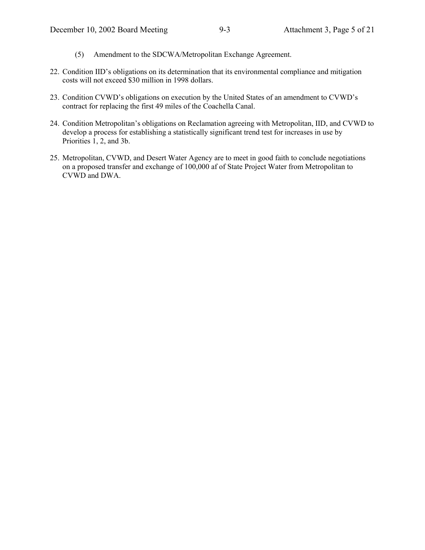- (5) Amendment to the SDCWA/Metropolitan Exchange Agreement.
- 22. Condition IID's obligations on its determination that its environmental compliance and mitigation costs will not exceed \$30 million in 1998 dollars.
- 23. Condition CVWD's obligations on execution by the United States of an amendment to CVWD's contract for replacing the first 49 miles of the Coachella Canal.
- 24. Condition Metropolitan's obligations on Reclamation agreeing with Metropolitan, IID, and CVWD to develop a process for establishing a statistically significant trend test for increases in use by Priorities 1, 2, and 3b.
- 25. Metropolitan, CVWD, and Desert Water Agency are to meet in good faith to conclude negotiations on a proposed transfer and exchange of 100,000 af of State Project Water from Metropolitan to CVWD and DWA.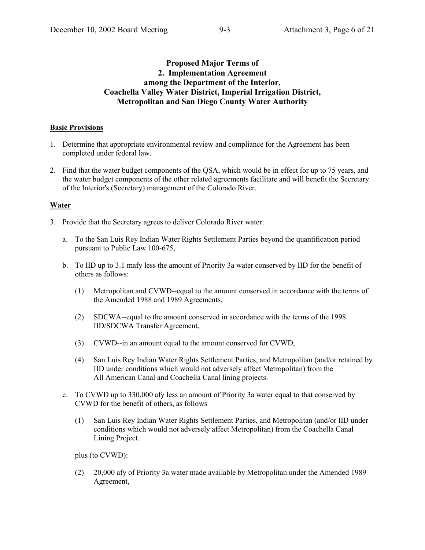## **Proposed Major Terms of 2. Implementation Agreement among the Department of the Interior, Coachella Valley Water District, Imperial Irrigation District, Metropolitan and San Diego County Water Authority**

#### **Basic Provisions**

- 1. Determine that appropriate environmental review and compliance for the Agreement has been completed under federal law.
- 2. Find that the water budget components of the QSA, which would be in effect for up to 75 years, and the water budget components of the other related agreements facilitate and will benefit the Secretary of the Interior's (Secretary) management of the Colorado River.

#### **Water**

- 3. Provide that the Secretary agrees to deliver Colorado River water:
	- a. To the San Luis Rey Indian Water Rights Settlement Parties beyond the quantification period pursuant to Public Law 100-675,
	- b. To IID up to 3.1 mafy less the amount of Priority 3a water conserved by IID for the benefit of others as follows:
		- (1) Metropolitan and CVWD--equal to the amount conserved in accordance with the terms of the Amended 1988 and 1989 Agreements,
		- (2) SDCWA--equal to the amount conserved in accordance with the terms of the 1998 IID/SDCWA Transfer Agreement,
		- (3) CVWD--in an amount equal to the amount conserved for CVWD,
		- (4) San Luis Rey Indian Water Rights Settlement Parties, and Metropolitan (and/or retained by IID under conditions which would not adversely affect Metropolitan) from the All American Canal and Coachella Canal lining projects.
	- c. To CVWD up to 330,000 afy less an amount of Priority 3a water equal to that conserved by CVWD for the benefit of others, as follows
		- (1) San Luis Rey Indian Water Rights Settlement Parties, and Metropolitan (and/or IID under conditions which would not adversely affect Metropolitan) from the Coachella Canal Lining Project.

plus (to CVWD):

(2) 20,000 afy of Priority 3a water made available by Metropolitan under the Amended 1989 Agreement,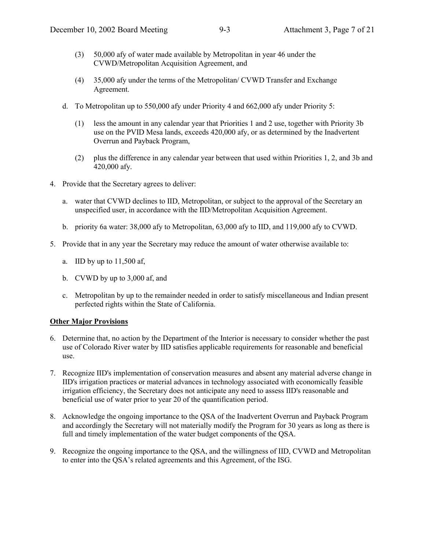- (3) 50,000 afy of water made available by Metropolitan in year 46 under the CVWD/Metropolitan Acquisition Agreement, and
- (4) 35,000 afy under the terms of the Metropolitan/ CVWD Transfer and Exchange Agreement.
- d. To Metropolitan up to 550,000 afy under Priority 4 and 662,000 afy under Priority 5:
	- (1) less the amount in any calendar year that Priorities 1 and 2 use, together with Priority 3b use on the PVID Mesa lands, exceeds 420,000 afy, or as determined by the Inadvertent Overrun and Payback Program,
	- (2) plus the difference in any calendar year between that used within Priorities 1, 2, and 3b and 420,000 afy.
- 4. Provide that the Secretary agrees to deliver:
	- a. water that CVWD declines to IID, Metropolitan, or subject to the approval of the Secretary an unspecified user, in accordance with the IID/Metropolitan Acquisition Agreement.
	- b. priority 6a water: 38,000 afy to Metropolitan, 63,000 afy to IID, and 119,000 afy to CVWD.
- 5. Provide that in any year the Secretary may reduce the amount of water otherwise available to:
	- a. IID by up to 11,500 af,
	- b. CVWD by up to 3,000 af, and
	- c. Metropolitan by up to the remainder needed in order to satisfy miscellaneous and Indian present perfected rights within the State of California.

#### **Other Major Provisions**

- 6. Determine that, no action by the Department of the Interior is necessary to consider whether the past use of Colorado River water by IID satisfies applicable requirements for reasonable and beneficial use.
- 7. Recognize IID's implementation of conservation measures and absent any material adverse change in IID's irrigation practices or material advances in technology associated with economically feasible irrigation efficiency, the Secretary does not anticipate any need to assess IID's reasonable and beneficial use of water prior to year 20 of the quantification period.
- 8. Acknowledge the ongoing importance to the QSA of the Inadvertent Overrun and Payback Program and accordingly the Secretary will not materially modify the Program for 30 years as long as there is full and timely implementation of the water budget components of the QSA.
- 9. Recognize the ongoing importance to the QSA, and the willingness of IID, CVWD and Metropolitan to enter into the QSA's related agreements and this Agreement, of the ISG.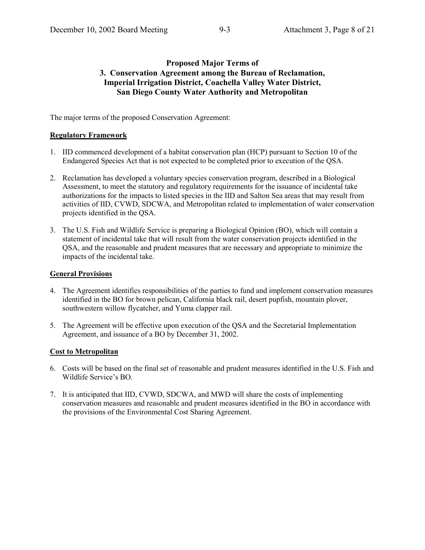## **Proposed Major Terms of 3. Conservation Agreement among the Bureau of Reclamation, Imperial Irrigation District, Coachella Valley Water District, San Diego County Water Authority and Metropolitan**

The major terms of the proposed Conservation Agreement:

## **Regulatory Framework**

- 1. IID commenced development of a habitat conservation plan (HCP) pursuant to Section 10 of the Endangered Species Act that is not expected to be completed prior to execution of the QSA.
- 2. Reclamation has developed a voluntary species conservation program, described in a Biological Assessment, to meet the statutory and regulatory requirements for the issuance of incidental take authorizations for the impacts to listed species in the IID and Salton Sea areas that may result from activities of IID, CVWD, SDCWA, and Metropolitan related to implementation of water conservation projects identified in the QSA.
- 3. The U.S. Fish and Wildlife Service is preparing a Biological Opinion (BO), which will contain a statement of incidental take that will result from the water conservation projects identified in the QSA, and the reasonable and prudent measures that are necessary and appropriate to minimize the impacts of the incidental take.

#### **General Provisions**

- 4. The Agreement identifies responsibilities of the parties to fund and implement conservation measures identified in the BO for brown pelican, California black rail, desert pupfish, mountain plover, southwestern willow flycatcher, and Yuma clapper rail.
- 5. The Agreement will be effective upon execution of the QSA and the Secretarial Implementation Agreement, and issuance of a BO by December 31, 2002.

#### **Cost to Metropolitan**

- 6. Costs will be based on the final set of reasonable and prudent measures identified in the U.S. Fish and Wildlife Service's BO.
- 7. It is anticipated that IID, CVWD, SDCWA, and MWD will share the costs of implementing conservation measures and reasonable and prudent measures identified in the BO in accordance with the provisions of the Environmental Cost Sharing Agreement.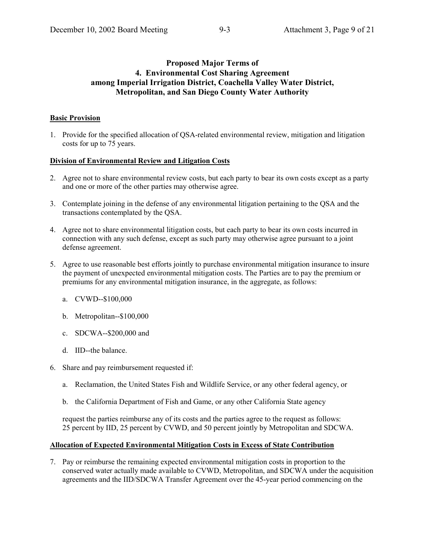## **Proposed Major Terms of 4. Environmental Cost Sharing Agreement among Imperial Irrigation District, Coachella Valley Water District, Metropolitan, and San Diego County Water Authority**

## **Basic Provision**

1. Provide for the specified allocation of QSA-related environmental review, mitigation and litigation costs for up to 75 years.

#### **Division of Environmental Review and Litigation Costs**

- 2. Agree not to share environmental review costs, but each party to bear its own costs except as a party and one or more of the other parties may otherwise agree.
- 3. Contemplate joining in the defense of any environmental litigation pertaining to the QSA and the transactions contemplated by the QSA.
- 4. Agree not to share environmental litigation costs, but each party to bear its own costs incurred in connection with any such defense, except as such party may otherwise agree pursuant to a joint defense agreement.
- 5. Agree to use reasonable best efforts jointly to purchase environmental mitigation insurance to insure the payment of unexpected environmental mitigation costs. The Parties are to pay the premium or premiums for any environmental mitigation insurance, in the aggregate, as follows:
	- a. CVWD--\$100,000
	- b. Metropolitan--\$100,000
	- c. SDCWA--\$200,000 and
	- d. IID--the balance.
- 6. Share and pay reimbursement requested if:
	- a. Reclamation, the United States Fish and Wildlife Service, or any other federal agency, or
	- b. the California Department of Fish and Game, or any other California State agency

request the parties reimburse any of its costs and the parties agree to the request as follows: 25 percent by IID, 25 percent by CVWD, and 50 percent jointly by Metropolitan and SDCWA.

## **Allocation of Expected Environmental Mitigation Costs in Excess of State Contribution**

7. Pay or reimburse the remaining expected environmental mitigation costs in proportion to the conserved water actually made available to CVWD, Metropolitan, and SDCWA under the acquisition agreements and the IID/SDCWA Transfer Agreement over the 45-year period commencing on the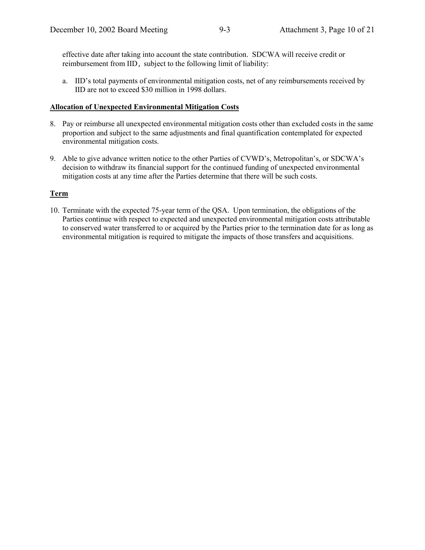effective date after taking into account the state contribution. SDCWA will receive credit or reimbursement from IID, subject to the following limit of liability:

a. IID's total payments of environmental mitigation costs, net of any reimbursements received by IID are not to exceed \$30 million in 1998 dollars.

#### **Allocation of Unexpected Environmental Mitigation Costs**

- 8. Pay or reimburse all unexpected environmental mitigation costs other than excluded costs in the same proportion and subject to the same adjustments and final quantification contemplated for expected environmental mitigation costs.
- 9. Able to give advance written notice to the other Parties of CVWD's, Metropolitan's, or SDCWA's decision to withdraw its financial support for the continued funding of unexpected environmental mitigation costs at any time after the Parties determine that there will be such costs.

#### **Term**

10. Terminate with the expected 75-year term of the QSA. Upon termination, the obligations of the Parties continue with respect to expected and unexpected environmental mitigation costs attributable to conserved water transferred to or acquired by the Parties prior to the termination date for as long as environmental mitigation is required to mitigate the impacts of those transfers and acquisitions.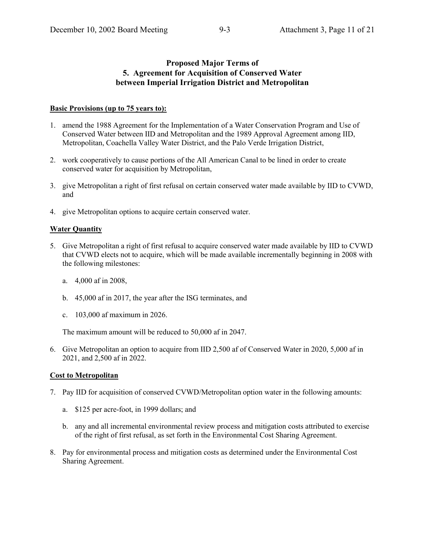## **Proposed Major Terms of 5. Agreement for Acquisition of Conserved Water between Imperial Irrigation District and Metropolitan**

#### **Basic Provisions (up to 75 years to):**

- 1. amend the 1988 Agreement for the Implementation of a Water Conservation Program and Use of Conserved Water between IID and Metropolitan and the 1989 Approval Agreement among IID, Metropolitan, Coachella Valley Water District, and the Palo Verde Irrigation District,
- 2. work cooperatively to cause portions of the All American Canal to be lined in order to create conserved water for acquisition by Metropolitan,
- 3. give Metropolitan a right of first refusal on certain conserved water made available by IID to CVWD, and
- 4. give Metropolitan options to acquire certain conserved water.

#### **Water Quantity**

- 5. Give Metropolitan a right of first refusal to acquire conserved water made available by IID to CVWD that CVWD elects not to acquire, which will be made available incrementally beginning in 2008 with the following milestones:
	- a. 4,000 af in 2008,
	- b. 45,000 af in 2017, the year after the ISG terminates, and
	- c. 103,000 af maximum in 2026.

The maximum amount will be reduced to 50,000 af in 2047.

6. Give Metropolitan an option to acquire from IID 2,500 af of Conserved Water in 2020, 5,000 af in 2021, and 2,500 af in 2022.

#### **Cost to Metropolitan**

- 7. Pay IID for acquisition of conserved CVWD/Metropolitan option water in the following amounts:
	- a. \$125 per acre-foot, in 1999 dollars; and
	- b. any and all incremental environmental review process and mitigation costs attributed to exercise of the right of first refusal, as set forth in the Environmental Cost Sharing Agreement.
- 8. Pay for environmental process and mitigation costs as determined under the Environmental Cost Sharing Agreement.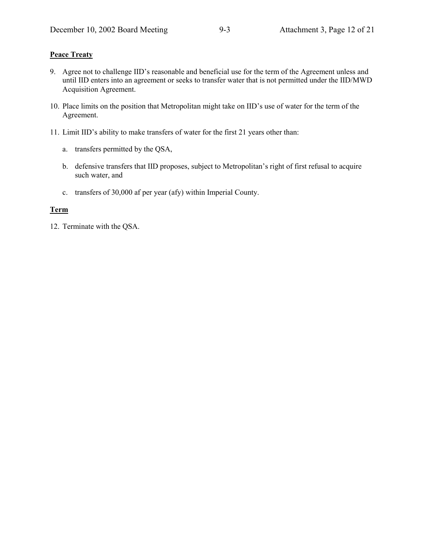#### **Peace Treaty**

- 9. Agree not to challenge IID's reasonable and beneficial use for the term of the Agreement unless and until IID enters into an agreement or seeks to transfer water that is not permitted under the IID/MWD Acquisition Agreement.
- 10. Place limits on the position that Metropolitan might take on IID's use of water for the term of the Agreement.
- 11. Limit IID's ability to make transfers of water for the first 21 years other than:
	- a. transfers permitted by the QSA,
	- b. defensive transfers that IID proposes, subject to Metropolitan's right of first refusal to acquire such water, and
	- c. transfers of 30,000 af per year (afy) within Imperial County.

#### **Term**

12. Terminate with the QSA.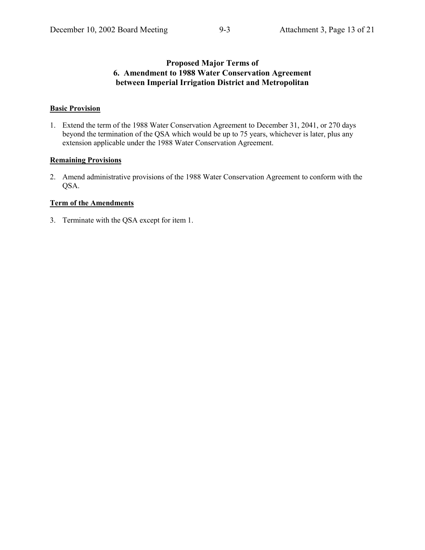## **Proposed Major Terms of 6. Amendment to 1988 Water Conservation Agreement between Imperial Irrigation District and Metropolitan**

#### **Basic Provision**

1. Extend the term of the 1988 Water Conservation Agreement to December 31, 2041, or 270 days beyond the termination of the QSA which would be up to 75 years, whichever is later, plus any extension applicable under the 1988 Water Conservation Agreement.

#### **Remaining Provisions**

2. Amend administrative provisions of the 1988 Water Conservation Agreement to conform with the QSA.

#### **Term of the Amendments**

3. Terminate with the QSA except for item 1.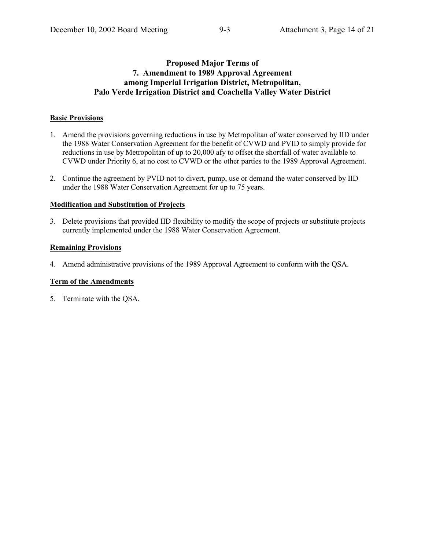## **Proposed Major Terms of 7. Amendment to 1989 Approval Agreement among Imperial Irrigation District, Metropolitan, Palo Verde Irrigation District and Coachella Valley Water District**

#### **Basic Provisions**

- 1. Amend the provisions governing reductions in use by Metropolitan of water conserved by IID under the 1988 Water Conservation Agreement for the benefit of CVWD and PVID to simply provide for reductions in use by Metropolitan of up to 20,000 afy to offset the shortfall of water available to CVWD under Priority 6, at no cost to CVWD or the other parties to the 1989 Approval Agreement.
- 2. Continue the agreement by PVID not to divert, pump, use or demand the water conserved by IID under the 1988 Water Conservation Agreement for up to 75 years.

#### **Modification and Substitution of Projects**

3. Delete provisions that provided IID flexibility to modify the scope of projects or substitute projects currently implemented under the 1988 Water Conservation Agreement.

#### **Remaining Provisions**

4. Amend administrative provisions of the 1989 Approval Agreement to conform with the QSA.

#### **Term of the Amendments**

5. Terminate with the QSA.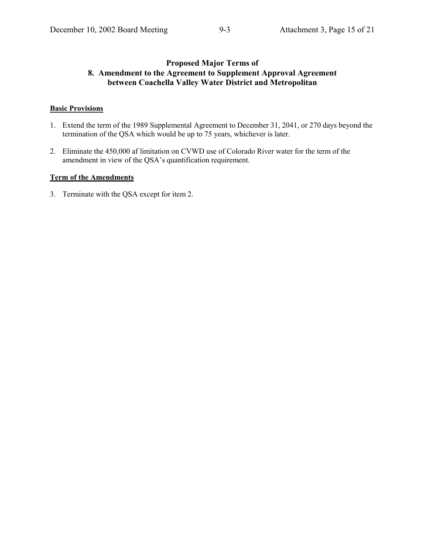## **Proposed Major Terms of 8. Amendment to the Agreement to Supplement Approval Agreement between Coachella Valley Water District and Metropolitan**

#### **Basic Provisions**

- 1. Extend the term of the 1989 Supplemental Agreement to December 31, 2041, or 270 days beyond the termination of the QSA which would be up to 75 years, whichever is later.
- 2. Eliminate the 450,000 af limitation on CVWD use of Colorado River water for the term of the amendment in view of the QSA's quantification requirement.

## **Term of the Amendments**

3. Terminate with the QSA except for item 2.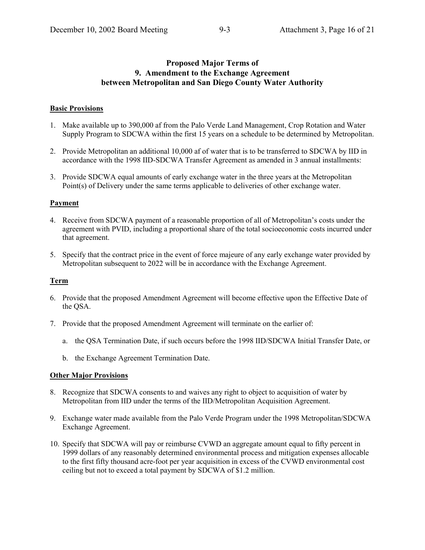## **Proposed Major Terms of 9. Amendment to the Exchange Agreement between Metropolitan and San Diego County Water Authority**

#### **Basic Provisions**

- 1. Make available up to 390,000 af from the Palo Verde Land Management, Crop Rotation and Water Supply Program to SDCWA within the first 15 years on a schedule to be determined by Metropolitan.
- 2. Provide Metropolitan an additional 10,000 af of water that is to be transferred to SDCWA by IID in accordance with the 1998 IID-SDCWA Transfer Agreement as amended in 3 annual installments:
- 3. Provide SDCWA equal amounts of early exchange water in the three years at the Metropolitan Point(s) of Delivery under the same terms applicable to deliveries of other exchange water.

#### **Payment**

- 4. Receive from SDCWA payment of a reasonable proportion of all of Metropolitanís costs under the agreement with PVID, including a proportional share of the total socioeconomic costs incurred under that agreement.
- 5. Specify that the contract price in the event of force majeure of any early exchange water provided by Metropolitan subsequent to 2022 will be in accordance with the Exchange Agreement.

#### **Term**

- 6. Provide that the proposed Amendment Agreement will become effective upon the Effective Date of the QSA.
- 7. Provide that the proposed Amendment Agreement will terminate on the earlier of:
	- a. the QSA Termination Date, if such occurs before the 1998 IID/SDCWA Initial Transfer Date, or
	- b. the Exchange Agreement Termination Date.

#### **Other Major Provisions**

- 8. Recognize that SDCWA consents to and waives any right to object to acquisition of water by Metropolitan from IID under the terms of the IID/Metropolitan Acquisition Agreement.
- 9. Exchange water made available from the Palo Verde Program under the 1998 Metropolitan/SDCWA Exchange Agreement.
- 10. Specify that SDCWA will pay or reimburse CVWD an aggregate amount equal to fifty percent in 1999 dollars of any reasonably determined environmental process and mitigation expenses allocable to the first fifty thousand acre-foot per year acquisition in excess of the CVWD environmental cost ceiling but not to exceed a total payment by SDCWA of \$1.2 million.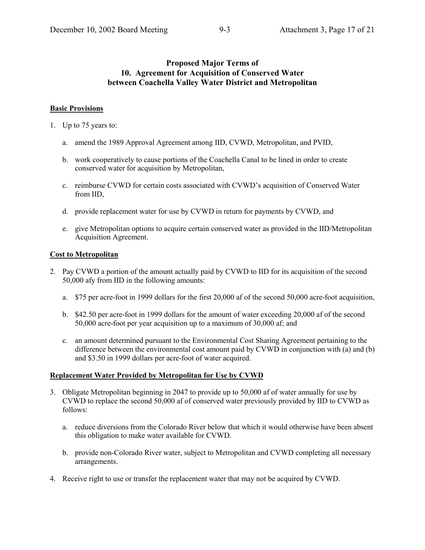## **Proposed Major Terms of 10. Agreement for Acquisition of Conserved Water between Coachella Valley Water District and Metropolitan**

#### **Basic Provisions**

- 1. Up to 75 years to:
	- a. amend the 1989 Approval Agreement among IID, CVWD, Metropolitan, and PVID,
	- b. work cooperatively to cause portions of the Coachella Canal to be lined in order to create conserved water for acquisition by Metropolitan,
	- c. reimburse CVWD for certain costs associated with CVWD's acquisition of Conserved Water from IID,
	- d. provide replacement water for use by CVWD in return for payments by CVWD, and
	- e. give Metropolitan options to acquire certain conserved water as provided in the IID/Metropolitan Acquisition Agreement.

#### **Cost to Metropolitan**

- 2. Pay CVWD a portion of the amount actually paid by CVWD to IID for its acquisition of the second 50,000 afy from IID in the following amounts:
	- a. \$75 per acre-foot in 1999 dollars for the first 20,000 af of the second 50,000 acre-foot acquisition,
	- b. \$42.50 per acre-foot in 1999 dollars for the amount of water exceeding 20,000 af of the second 50,000 acre-foot per year acquisition up to a maximum of 30,000 af; and
	- c. an amount determined pursuant to the Environmental Cost Sharing Agreement pertaining to the difference between the environmental cost amount paid by CVWD in conjunction with (a) and (b) and \$3.50 in 1999 dollars per acre-foot of water acquired.

#### **Replacement Water Provided by Metropolitan for Use by CVWD**

- 3. Obligate Metropolitan beginning in 2047 to provide up to 50,000 af of water annually for use by CVWD to replace the second 50,000 af of conserved water previously provided by IID to CVWD as follows:
	- a. reduce diversions from the Colorado River below that which it would otherwise have been absent this obligation to make water available for CVWD.
	- b. provide non-Colorado River water, subject to Metropolitan and CVWD completing all necessary arrangements.
- 4. Receive right to use or transfer the replacement water that may not be acquired by CVWD.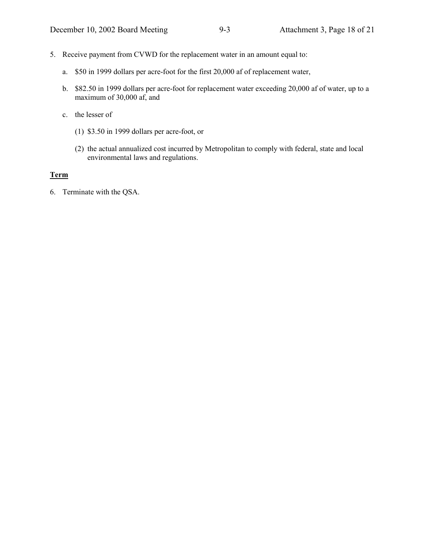- 5. Receive payment from CVWD for the replacement water in an amount equal to:
	- a. \$50 in 1999 dollars per acre-foot for the first 20,000 af of replacement water,
	- b. \$82.50 in 1999 dollars per acre-foot for replacement water exceeding 20,000 af of water, up to a maximum of 30,000 af, and
	- c. the lesser of
		- (1) \$3.50 in 1999 dollars per acre-foot, or
		- (2) the actual annualized cost incurred by Metropolitan to comply with federal, state and local environmental laws and regulations.

#### **Term**

6. Terminate with the QSA.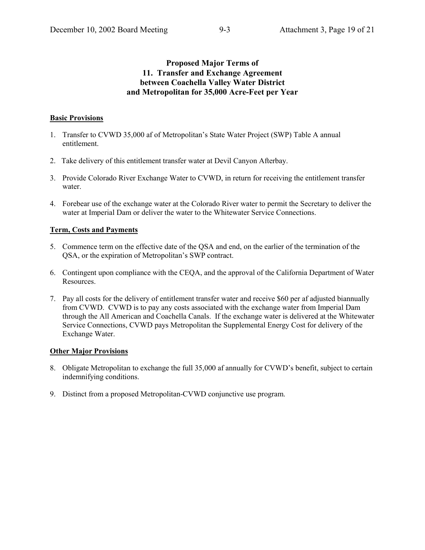## **Proposed Major Terms of 11. Transfer and Exchange Agreement between Coachella Valley Water District and Metropolitan for 35,000 Acre-Feet per Year**

## **Basic Provisions**

- 1. Transfer to CVWD 35,000 af of Metropolitanís State Water Project (SWP) Table A annual entitlement.
- 2. Take delivery of this entitlement transfer water at Devil Canyon Afterbay.
- 3. Provide Colorado River Exchange Water to CVWD, in return for receiving the entitlement transfer water.
- 4. Forebear use of the exchange water at the Colorado River water to permit the Secretary to deliver the water at Imperial Dam or deliver the water to the Whitewater Service Connections.

## **Term, Costs and Payments**

- 5. Commence term on the effective date of the QSA and end, on the earlier of the termination of the QSA, or the expiration of Metropolitan's SWP contract.
- 6. Contingent upon compliance with the CEQA, and the approval of the California Department of Water Resources.
- 7. Pay all costs for the delivery of entitlement transfer water and receive \$60 per af adjusted biannually from CVWD. CVWD is to pay any costs associated with the exchange water from Imperial Dam through the All American and Coachella Canals. If the exchange water is delivered at the Whitewater Service Connections, CVWD pays Metropolitan the Supplemental Energy Cost for delivery of the Exchange Water.

#### **Other Major Provisions**

- 8. Obligate Metropolitan to exchange the full 35,000 af annually for CVWD's benefit, subject to certain indemnifying conditions.
- 9. Distinct from a proposed Metropolitan-CVWD conjunctive use program.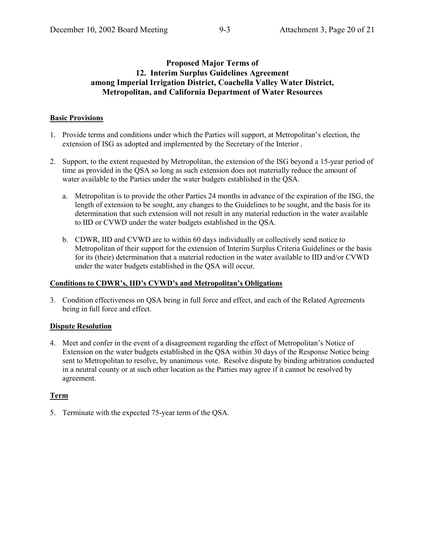## **Proposed Major Terms of 12. Interim Surplus Guidelines Agreement among Imperial Irrigation District, Coachella Valley Water District, Metropolitan, and California Department of Water Resources**

## **Basic Provisions**

- 1. Provide terms and conditions under which the Parties will support, at Metropolitanís election, the extension of ISG as adopted and implemented by the Secretary of the Interior.
- 2. Support, to the extent requested by Metropolitan, the extension of the ISG beyond a 15-year period of time as provided in the QSA so long as such extension does not materially reduce the amount of water available to the Parties under the water budgets established in the QSA.
	- a. Metropolitan is to provide the other Parties 24 months in advance of the expiration of the ISG, the length of extension to be sought, any changes to the Guidelines to be sought, and the basis for its determination that such extension will not result in any material reduction in the water available to IID or CVWD under the water budgets established in the QSA.
	- b. CDWR, IID and CVWD are to within 60 days individually or collectively send notice to Metropolitan of their support for the extension of Interim Surplus Criteria Guidelines or the basis for its (their) determination that a material reduction in the water available to IID and/or CVWD under the water budgets established in the QSA will occur.

#### Conditions to CDWR's, IID's CVWD's and Metropolitan's Obligations

3. Condition effectiveness on QSA being in full force and effect, and each of the Related Agreements being in full force and effect.

#### **Dispute Resolution**

4. Meet and confer in the event of a disagreement regarding the effect of Metropolitan's Notice of Extension on the water budgets established in the QSA within 30 days of the Response Notice being sent to Metropolitan to resolve, by unanimous vote. Resolve dispute by binding arbitration conducted in a neutral county or at such other location as the Parties may agree if it cannot be resolved by agreement.

## **Term**

5. Terminate with the expected 75-year term of the QSA.